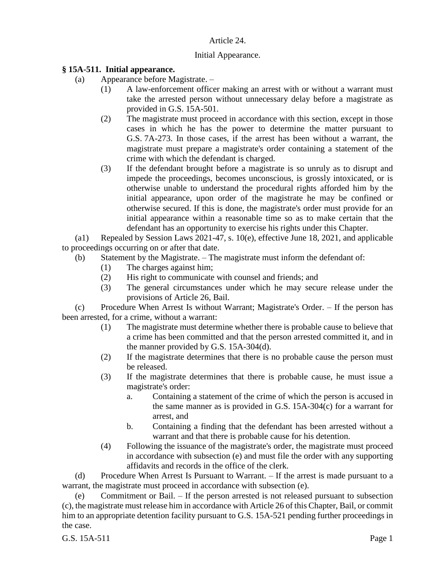## Article 24.

## Initial Appearance.

## **§ 15A-511. Initial appearance.**

- (a) Appearance before Magistrate.
	- (1) A law-enforcement officer making an arrest with or without a warrant must take the arrested person without unnecessary delay before a magistrate as provided in G.S. 15A-501.
	- (2) The magistrate must proceed in accordance with this section, except in those cases in which he has the power to determine the matter pursuant to G.S. 7A-273. In those cases, if the arrest has been without a warrant, the magistrate must prepare a magistrate's order containing a statement of the crime with which the defendant is charged.
	- (3) If the defendant brought before a magistrate is so unruly as to disrupt and impede the proceedings, becomes unconscious, is grossly intoxicated, or is otherwise unable to understand the procedural rights afforded him by the initial appearance, upon order of the magistrate he may be confined or otherwise secured. If this is done, the magistrate's order must provide for an initial appearance within a reasonable time so as to make certain that the defendant has an opportunity to exercise his rights under this Chapter.

(a1) Repealed by Session Laws 2021-47, s. 10(e), effective June 18, 2021, and applicable to proceedings occurring on or after that date.

(b) Statement by the Magistrate. – The magistrate must inform the defendant of:

- (1) The charges against him;
- (2) His right to communicate with counsel and friends; and
- (3) The general circumstances under which he may secure release under the provisions of Article 26, Bail.

(c) Procedure When Arrest Is without Warrant; Magistrate's Order. – If the person has been arrested, for a crime, without a warrant:

- (1) The magistrate must determine whether there is probable cause to believe that a crime has been committed and that the person arrested committed it, and in the manner provided by G.S. 15A-304(d).
- (2) If the magistrate determines that there is no probable cause the person must be released.
- (3) If the magistrate determines that there is probable cause, he must issue a magistrate's order:
	- a. Containing a statement of the crime of which the person is accused in the same manner as is provided in G.S. 15A-304(c) for a warrant for arrest, and
	- b. Containing a finding that the defendant has been arrested without a warrant and that there is probable cause for his detention.
- (4) Following the issuance of the magistrate's order, the magistrate must proceed in accordance with subsection (e) and must file the order with any supporting affidavits and records in the office of the clerk.

(d) Procedure When Arrest Is Pursuant to Warrant. – If the arrest is made pursuant to a warrant, the magistrate must proceed in accordance with subsection (e).

(e) Commitment or Bail. – If the person arrested is not released pursuant to subsection (c), the magistrate must release him in accordance with Article 26 of this Chapter, Bail, or commit him to an appropriate detention facility pursuant to G.S. 15A-521 pending further proceedings in the case.

G.S. 15A-511 Page 1